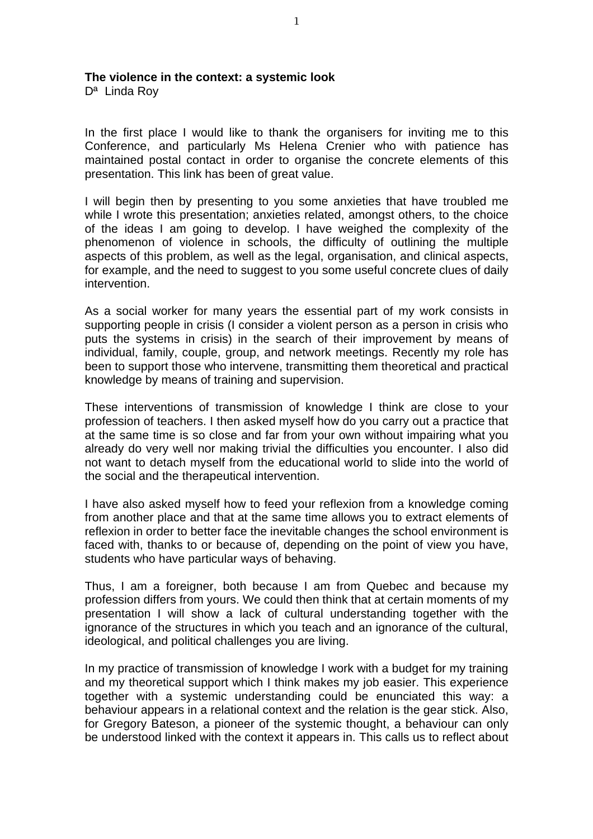## **The violence in the context: a systemic look**

Dª Linda Roy

In the first place I would like to thank the organisers for inviting me to this Conference, and particularly Ms Helena Crenier who with patience has maintained postal contact in order to organise the concrete elements of this presentation. This link has been of great value.

I will begin then by presenting to you some anxieties that have troubled me while I wrote this presentation; anxieties related, amongst others, to the choice of the ideas I am going to develop. I have weighed the complexity of the phenomenon of violence in schools, the difficulty of outlining the multiple aspects of this problem, as well as the legal, organisation, and clinical aspects, for example, and the need to suggest to you some useful concrete clues of daily intervention.

As a social worker for many years the essential part of my work consists in supporting people in crisis (I consider a violent person as a person in crisis who puts the systems in crisis) in the search of their improvement by means of individual, family, couple, group, and network meetings. Recently my role has been to support those who intervene, transmitting them theoretical and practical knowledge by means of training and supervision.

These interventions of transmission of knowledge I think are close to your profession of teachers. I then asked myself how do you carry out a practice that at the same time is so close and far from your own without impairing what you already do very well nor making trivial the difficulties you encounter. I also did not want to detach myself from the educational world to slide into the world of the social and the therapeutical intervention.

I have also asked myself how to feed your reflexion from a knowledge coming from another place and that at the same time allows you to extract elements of reflexion in order to better face the inevitable changes the school environment is faced with, thanks to or because of, depending on the point of view you have, students who have particular ways of behaving.

Thus, I am a foreigner, both because I am from Quebec and because my profession differs from yours. We could then think that at certain moments of my presentation I will show a lack of cultural understanding together with the ignorance of the structures in which you teach and an ignorance of the cultural, ideological, and political challenges you are living.

In my practice of transmission of knowledge I work with a budget for my training and my theoretical support which I think makes my job easier. This experience together with a systemic understanding could be enunciated this way: a behaviour appears in a relational context and the relation is the gear stick. Also, for Gregory Bateson, a pioneer of the systemic thought, a behaviour can only be understood linked with the context it appears in. This calls us to reflect about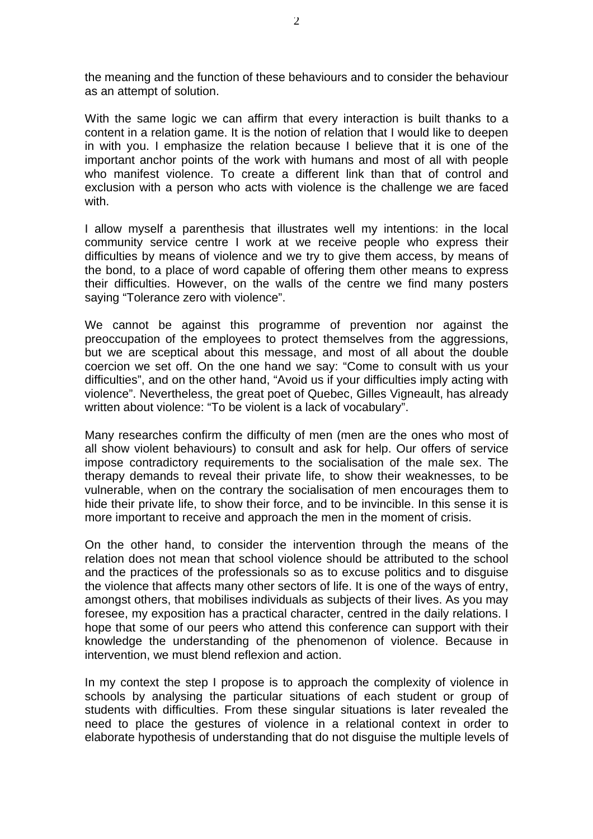the meaning and the function of these behaviours and to consider the behaviour as an attempt of solution.

With the same logic we can affirm that every interaction is built thanks to a content in a relation game. It is the notion of relation that I would like to deepen in with you. I emphasize the relation because I believe that it is one of the important anchor points of the work with humans and most of all with people who manifest violence. To create a different link than that of control and exclusion with a person who acts with violence is the challenge we are faced with.

I allow myself a parenthesis that illustrates well my intentions: in the local community service centre I work at we receive people who express their difficulties by means of violence and we try to give them access, by means of the bond, to a place of word capable of offering them other means to express their difficulties. However, on the walls of the centre we find many posters saying "Tolerance zero with violence".

We cannot be against this programme of prevention nor against the preoccupation of the employees to protect themselves from the aggressions, but we are sceptical about this message, and most of all about the double coercion we set off. On the one hand we say: "Come to consult with us your difficulties", and on the other hand, "Avoid us if your difficulties imply acting with violence". Nevertheless, the great poet of Quebec, Gilles Vigneault, has already written about violence: "To be violent is a lack of vocabulary".

Many researches confirm the difficulty of men (men are the ones who most of all show violent behaviours) to consult and ask for help. Our offers of service impose contradictory requirements to the socialisation of the male sex. The therapy demands to reveal their private life, to show their weaknesses, to be vulnerable, when on the contrary the socialisation of men encourages them to hide their private life, to show their force, and to be invincible. In this sense it is more important to receive and approach the men in the moment of crisis.

On the other hand, to consider the intervention through the means of the relation does not mean that school violence should be attributed to the school and the practices of the professionals so as to excuse politics and to disguise the violence that affects many other sectors of life. It is one of the ways of entry, amongst others, that mobilises individuals as subjects of their lives. As you may foresee, my exposition has a practical character, centred in the daily relations. I hope that some of our peers who attend this conference can support with their knowledge the understanding of the phenomenon of violence. Because in intervention, we must blend reflexion and action.

In my context the step I propose is to approach the complexity of violence in schools by analysing the particular situations of each student or group of students with difficulties. From these singular situations is later revealed the need to place the gestures of violence in a relational context in order to elaborate hypothesis of understanding that do not disguise the multiple levels of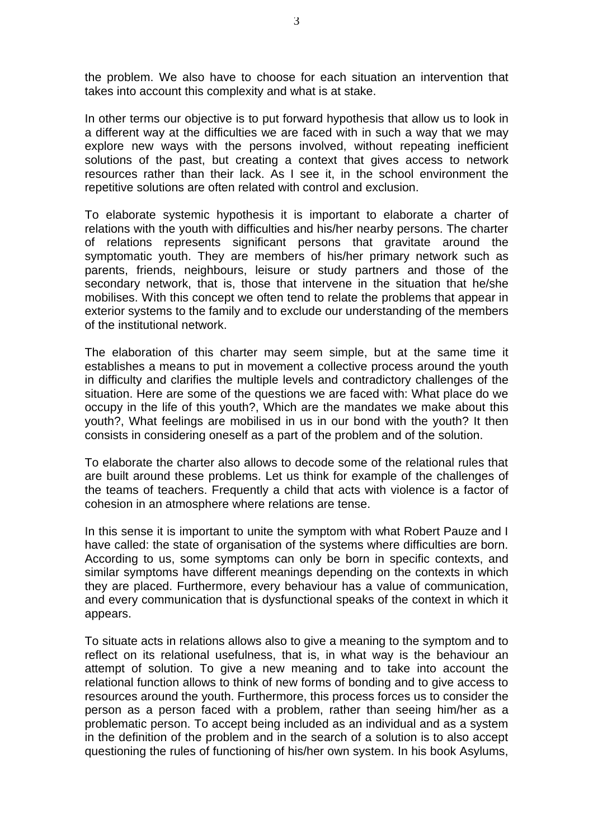the problem. We also have to choose for each situation an intervention that takes into account this complexity and what is at stake.

In other terms our objective is to put forward hypothesis that allow us to look in a different way at the difficulties we are faced with in such a way that we may explore new ways with the persons involved, without repeating inefficient solutions of the past, but creating a context that gives access to network resources rather than their lack. As I see it, in the school environment the repetitive solutions are often related with control and exclusion.

To elaborate systemic hypothesis it is important to elaborate a charter of relations with the youth with difficulties and his/her nearby persons. The charter of relations represents significant persons that gravitate around the symptomatic youth. They are members of his/her primary network such as parents, friends, neighbours, leisure or study partners and those of the secondary network, that is, those that intervene in the situation that he/she mobilises. With this concept we often tend to relate the problems that appear in exterior systems to the family and to exclude our understanding of the members of the institutional network.

The elaboration of this charter may seem simple, but at the same time it establishes a means to put in movement a collective process around the youth in difficulty and clarifies the multiple levels and contradictory challenges of the situation. Here are some of the questions we are faced with: What place do we occupy in the life of this youth?, Which are the mandates we make about this youth?, What feelings are mobilised in us in our bond with the youth? It then consists in considering oneself as a part of the problem and of the solution.

To elaborate the charter also allows to decode some of the relational rules that are built around these problems. Let us think for example of the challenges of the teams of teachers. Frequently a child that acts with violence is a factor of cohesion in an atmosphere where relations are tense.

In this sense it is important to unite the symptom with what Robert Pauze and I have called: the state of organisation of the systems where difficulties are born. According to us, some symptoms can only be born in specific contexts, and similar symptoms have different meanings depending on the contexts in which they are placed. Furthermore, every behaviour has a value of communication, and every communication that is dysfunctional speaks of the context in which it appears.

To situate acts in relations allows also to give a meaning to the symptom and to reflect on its relational usefulness, that is, in what way is the behaviour an attempt of solution. To give a new meaning and to take into account the relational function allows to think of new forms of bonding and to give access to resources around the youth. Furthermore, this process forces us to consider the person as a person faced with a problem, rather than seeing him/her as a problematic person. To accept being included as an individual and as a system in the definition of the problem and in the search of a solution is to also accept questioning the rules of functioning of his/her own system. In his book Asylums,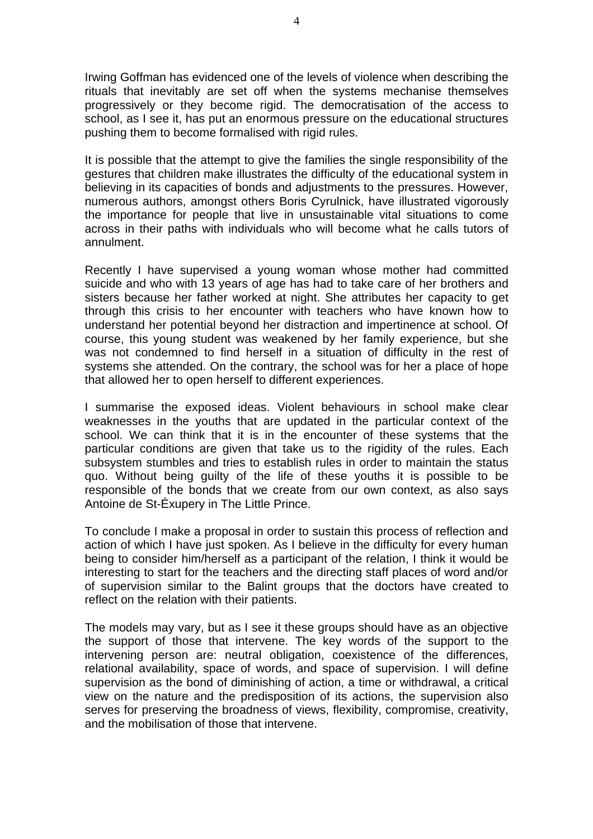Irwing Goffman has evidenced one of the levels of violence when describing the rituals that inevitably are set off when the systems mechanise themselves progressively or they become rigid. The democratisation of the access to school, as I see it, has put an enormous pressure on the educational structures pushing them to become formalised with rigid rules.

It is possible that the attempt to give the families the single responsibility of the gestures that children make illustrates the difficulty of the educational system in believing in its capacities of bonds and adjustments to the pressures. However, numerous authors, amongst others Boris Cyrulnick, have illustrated vigorously the importance for people that live in unsustainable vital situations to come across in their paths with individuals who will become what he calls tutors of annulment.

Recently I have supervised a young woman whose mother had committed suicide and who with 13 years of age has had to take care of her brothers and sisters because her father worked at night. She attributes her capacity to get through this crisis to her encounter with teachers who have known how to understand her potential beyond her distraction and impertinence at school. Of course, this young student was weakened by her family experience, but she was not condemned to find herself in a situation of difficulty in the rest of systems she attended. On the contrary, the school was for her a place of hope that allowed her to open herself to different experiences.

I summarise the exposed ideas. Violent behaviours in school make clear weaknesses in the youths that are updated in the particular context of the school. We can think that it is in the encounter of these systems that the particular conditions are given that take us to the rigidity of the rules. Each subsystem stumbles and tries to establish rules in order to maintain the status quo. Without being guilty of the life of these youths it is possible to be responsible of the bonds that we create from our own context, as also says Antoine de St-Éxupery in The Little Prince.

To conclude I make a proposal in order to sustain this process of reflection and action of which I have just spoken. As I believe in the difficulty for every human being to consider him/herself as a participant of the relation, I think it would be interesting to start for the teachers and the directing staff places of word and/or of supervision similar to the Balint groups that the doctors have created to reflect on the relation with their patients.

The models may vary, but as I see it these groups should have as an objective the support of those that intervene. The key words of the support to the intervening person are: neutral obligation, coexistence of the differences, relational availability, space of words, and space of supervision. I will define supervision as the bond of diminishing of action, a time or withdrawal, a critical view on the nature and the predisposition of its actions, the supervision also serves for preserving the broadness of views, flexibility, compromise, creativity, and the mobilisation of those that intervene.